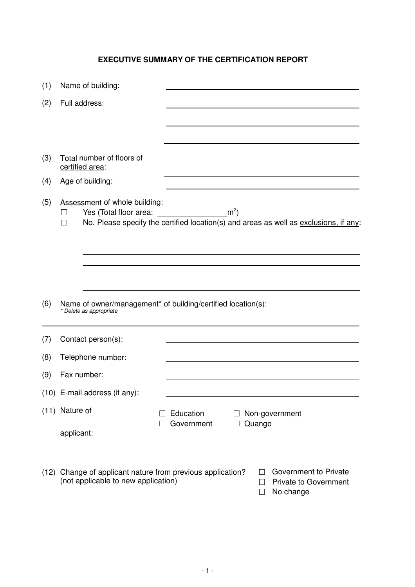## **EXECUTIVE SUMMARY OF THE CERTIFICATION REPORT**

| (1) | Name of building:                                                                                                                                                                                           |                                                                                    |
|-----|-------------------------------------------------------------------------------------------------------------------------------------------------------------------------------------------------------------|------------------------------------------------------------------------------------|
| (2) | Full address:                                                                                                                                                                                               |                                                                                    |
|     |                                                                                                                                                                                                             |                                                                                    |
|     |                                                                                                                                                                                                             |                                                                                    |
|     |                                                                                                                                                                                                             |                                                                                    |
| (3) | Total number of floors of<br>certified area:                                                                                                                                                                |                                                                                    |
| (4) | Age of building:                                                                                                                                                                                            |                                                                                    |
| (5) | Assessment of whole building:<br>Yes (Total floor area: $\frac{1}{2}$ m <sup>2</sup> )<br>$\blacksquare$<br>No. Please specify the certified location(s) and areas as well as exclusions, if any:<br>$\Box$ |                                                                                    |
|     |                                                                                                                                                                                                             |                                                                                    |
|     |                                                                                                                                                                                                             |                                                                                    |
|     |                                                                                                                                                                                                             |                                                                                    |
| (6) | Name of owner/management* of building/certified location(s):<br>* Delete as appropriate                                                                                                                     |                                                                                    |
| (7) | Contact person(s):                                                                                                                                                                                          |                                                                                    |
| (8) | Telephone number:                                                                                                                                                                                           |                                                                                    |
| (9) | Fax number:                                                                                                                                                                                                 |                                                                                    |
|     | (10) E-mail address (if any):                                                                                                                                                                               |                                                                                    |
|     | (11) Nature of<br>Education                                                                                                                                                                                 | Non-government                                                                     |
|     | Government<br>applicant:                                                                                                                                                                                    | Quango                                                                             |
|     | (12) Change of applicant nature from previous application?<br>(not applicable to new application)                                                                                                           | Government to Private<br>$\mathsf{L}$<br><b>Private to Government</b><br>No obongo |

□ No change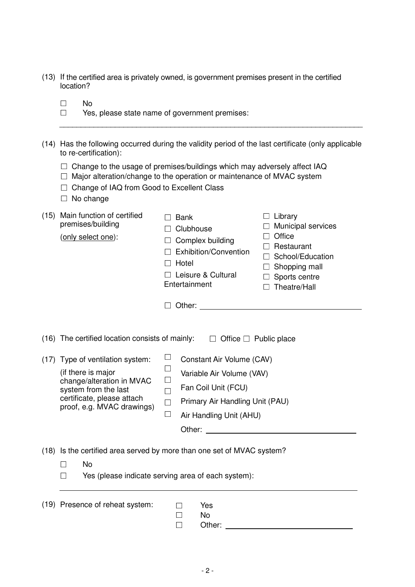- (13) If the certified area is privately owned, is government premises present in the certified location?
	- □ No
		- Yes, please state name of government premises:
- (14) Has the following occurred during the validity period of the last certificate (only applicable to re-certification):

\_\_\_\_\_\_\_\_\_\_\_\_\_\_\_\_\_\_\_\_\_\_\_\_\_\_\_\_\_\_\_\_\_\_\_\_\_\_\_\_\_\_\_\_\_\_\_\_\_\_\_\_\_\_\_\_\_\_\_\_\_\_\_\_\_\_\_\_\_\_\_

- $\square$  Change to the usage of premises/buildings which may adversely affect IAQ
- □ Major alteration/change to the operation or maintenance of MVAC system
- □ Change of IAQ from Good to Excellent Class
- □ No change

| (15) | Main function of certified<br>premises/building<br>(only select one):                                                                                                   | <b>Bank</b><br>Clubhouse<br>Complex building<br>Exhibition/Convention<br>$\Box$ Hotel<br>□ Leisure & Cultural<br>Entertainment                                                                                                                                                     | $\Box$ Library<br>Municipal services<br>Office<br>Restaurant<br>School/Education<br>Shopping mall<br>$\mathcal{L}$<br>Sports centre<br>Theatre/Hall |  |  |  |
|------|-------------------------------------------------------------------------------------------------------------------------------------------------------------------------|------------------------------------------------------------------------------------------------------------------------------------------------------------------------------------------------------------------------------------------------------------------------------------|-----------------------------------------------------------------------------------------------------------------------------------------------------|--|--|--|
|      | (16) The certified location consists of mainly: $\Box$ Office $\Box$ Public place                                                                                       |                                                                                                                                                                                                                                                                                    |                                                                                                                                                     |  |  |  |
|      | (17) Type of ventilation system:<br>(if there is major<br>change/alteration in MVAC<br>system from the last<br>certificate, please attach<br>proof, e.g. MVAC drawings) | $\begin{array}{c} \hline \end{array}$<br>Constant Air Volume (CAV)<br>$\Box$<br>Variable Air Volume (VAV)<br>$\Box$<br>Fan Coil Unit (FCU)<br>$\Box$<br>Primary Air Handling Unit (PAU)<br>$\Box$<br>$\Box$<br>Air Handling Unit (AHU)<br>Other: <u>__________________________</u> |                                                                                                                                                     |  |  |  |
| (18) | Is the certified area served by more than one set of MVAC system?<br>No<br>Yes (please indicate serving area of each system):                                           |                                                                                                                                                                                                                                                                                    |                                                                                                                                                     |  |  |  |

| (19) Presence of reheat system: | $\Box$ | Yes    |
|---------------------------------|--------|--------|
|                                 |        | No.    |
|                                 |        | Other: |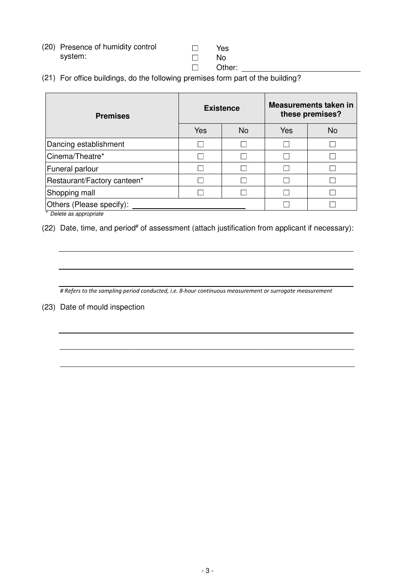(20) Presence of humidity control system:

| YAS |
|-----|
| N٥  |

□ Other:

(21) For office buildings, do the following premises form part of the building?

| <b>Premises</b>             |     | <b>Existence</b> | Measurements taken in<br>these premises? |           |
|-----------------------------|-----|------------------|------------------------------------------|-----------|
|                             | Yes | <b>No</b>        | Yes                                      | <b>No</b> |
| Dancing establishment       |     |                  |                                          |           |
| Cinema/Theatre*             |     |                  |                                          |           |
| Funeral parlour             |     |                  |                                          |           |
| Restaurant/Factory canteen* |     |                  |                                          |           |
| Shopping mall               |     |                  |                                          |           |
| Others (Please specify):    |     |                  |                                          |           |

\* Delete as appropriate

(22) Date, time, and period<sup>#</sup> of assessment (attach justification from applicant if necessary):

# Refers to the sampling period conducted, i.e. 8-hour continuous measurement or surrogate measurement

\_\_\_\_\_\_\_\_\_\_\_\_\_\_\_\_\_\_\_\_\_\_\_\_\_\_\_\_\_\_\_\_\_\_\_\_\_\_\_\_\_\_\_\_\_\_\_\_\_\_\_\_\_\_\_\_\_\_\_\_\_\_\_\_\_\_\_\_\_

\_\_\_\_\_\_\_\_\_\_\_\_\_\_\_\_\_\_\_\_\_\_\_\_\_\_\_\_\_\_\_\_\_\_\_\_\_\_\_\_\_\_\_\_\_\_\_\_\_\_\_\_\_\_\_\_\_\_\_\_\_\_\_\_\_\_\_\_\_

(23) Date of mould inspection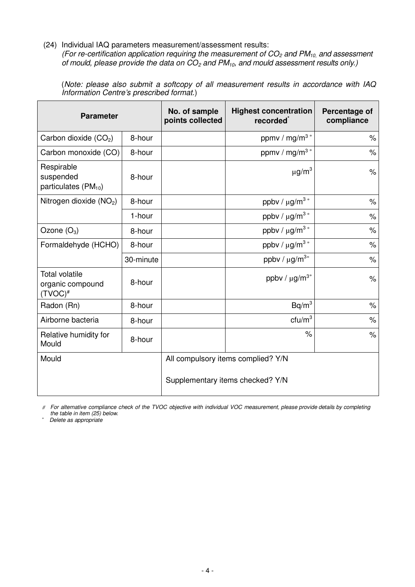(24) Individual IAQ parameters measurement/assessment results:

(For re-certification application requiring the measurement of  $CO<sub>2</sub>$  and PM<sub>10,</sub> and assessment of mould, please provide the data on  $CO<sub>2</sub>$  and PM<sub>10</sub>, and mould assessment results only.)

(Note: please also submit a softcopy of all measurement results in accordance with IAQ Information Centre's prescribed format.)

| <b>Parameter</b>                                            |           | No. of sample<br>points collected                                      | <b>Highest concentration</b><br>recorded <sup>*</sup> | Percentage of<br>compliance |
|-------------------------------------------------------------|-----------|------------------------------------------------------------------------|-------------------------------------------------------|-----------------------------|
| Carbon dioxide $(CO2)$                                      | 8-hour    |                                                                        | ppmv / mg/m <sup>3 *</sup>                            | $\%$                        |
| Carbon monoxide (CO)                                        | 8-hour    |                                                                        | ppmv / $mg/m3*$                                       | $\%$                        |
| Respirable<br>suspended<br>particulates (PM <sub>10</sub> ) | 8-hour    |                                                                        | $\mu$ g/m <sup>3</sup>                                | $\%$                        |
| Nitrogen dioxide (NO <sub>2</sub> )                         | 8-hour    |                                                                        | ppbv / $\mu$ g/m <sup>3</sup> *                       | $\%$                        |
|                                                             | 1-hour    |                                                                        | ppbv / $\mu$ g/m <sup>3 *</sup>                       | $\%$                        |
| Ozone $(O_3)$                                               | 8-hour    |                                                                        | ppbv / $\mu$ g/m <sup>3</sup> *                       | $\%$                        |
| Formaldehyde (HCHO)                                         | 8-hour    |                                                                        | ppbv / $\mu$ g/m <sup>3</sup> *                       | $\frac{0}{0}$               |
|                                                             | 30-minute |                                                                        | ppbv / $\mu$ g/m <sup>3*</sup>                        | $\%$                        |
| <b>Total volatile</b><br>organic compound<br>$(TVOC)^*$     | 8-hour    |                                                                        | ppbv / $\mu$ g/m <sup>3*</sup>                        | $\%$                        |
| Radon (Rn)                                                  | 8-hour    |                                                                        | Bq/m <sup>3</sup>                                     | $\%$                        |
| Airborne bacteria                                           | 8-hour    |                                                                        | ctu/m <sup>3</sup>                                    | $\frac{1}{\sqrt{2}}$        |
| Relative humidity for<br>Mould                              | 8-hour    |                                                                        | $\frac{1}{6}$                                         | $\%$                        |
| Mould                                                       |           | All compulsory items complied? Y/N<br>Supplementary items checked? Y/N |                                                       |                             |

# For alternative compliance check of the TVOC objective with individual VOC measurement, please provide details by completing the table in item (25) below. \* Delete as appropriate